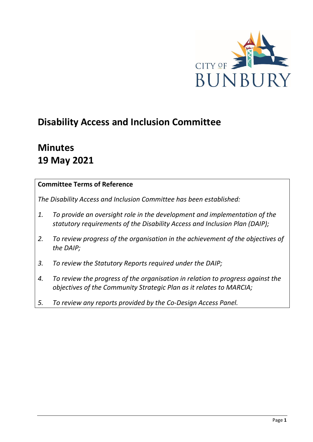

# **Disability Access and Inclusion Committee**

# **Minutes 19 May 2021**

# **Committee Terms of Reference**

*The Disability Access and Inclusion Committee has been established:* 

- *1. To provide an oversight role in the development and implementation of the statutory requirements of the Disability Access and Inclusion Plan (DAIP);*
- *2. To review progress of the organisation in the achievement of the objectives of the DAIP;*
- *3. To review the Statutory Reports required under the DAIP;*
- *4. To review the progress of the organisation in relation to progress against the objectives of the Community Strategic Plan as it relates to MARCIA;*
- *5. To review any reports provided by the Co-Design Access Panel.*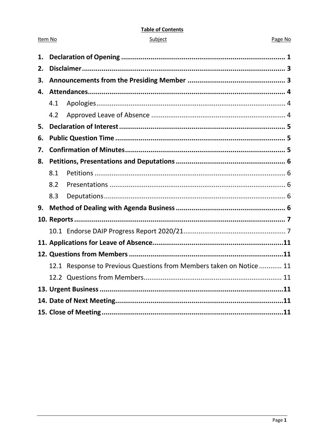#### **Table of Contents**

| ubie |  |
|------|--|
|      |  |
|      |  |

Item No

#### Page No

| 1. |     |                                                                     |  |
|----|-----|---------------------------------------------------------------------|--|
| 2. |     |                                                                     |  |
| 3. |     |                                                                     |  |
| 4. |     |                                                                     |  |
|    | 4.1 |                                                                     |  |
|    | 4.2 |                                                                     |  |
| 5. |     |                                                                     |  |
| 6. |     |                                                                     |  |
| 7. |     |                                                                     |  |
| 8. |     |                                                                     |  |
|    | 8.1 |                                                                     |  |
|    | 8.2 |                                                                     |  |
|    | 8.3 |                                                                     |  |
| 9. |     |                                                                     |  |
|    |     |                                                                     |  |
|    |     |                                                                     |  |
|    |     |                                                                     |  |
|    |     |                                                                     |  |
|    |     | 12.1 Response to Previous Questions from Members taken on Notice 11 |  |
|    |     |                                                                     |  |
|    |     |                                                                     |  |
|    |     |                                                                     |  |
|    |     |                                                                     |  |
|    |     |                                                                     |  |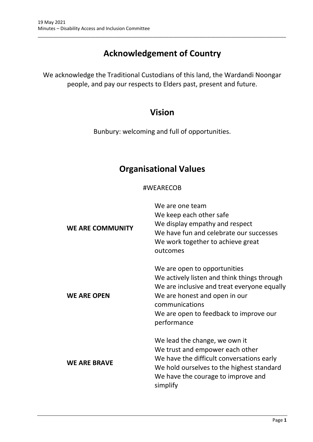# **Acknowledgement of Country**

\_\_\_\_\_\_\_\_\_\_\_\_\_\_\_\_\_\_\_\_\_\_\_\_\_\_\_\_\_\_\_\_\_\_\_\_\_\_\_\_\_\_\_\_\_\_\_\_\_\_\_\_\_\_\_\_\_\_\_\_\_\_\_\_\_\_\_\_\_\_\_\_\_\_\_\_\_\_\_\_\_\_\_\_\_\_\_\_\_\_\_\_\_\_\_

We acknowledge the Traditional Custodians of this land, the Wardandi Noongar people, and pay our respects to Elders past, present and future.

# **Vision**

Bunbury: welcoming and full of opportunities.

# **Organisational Values**

# #WEARECOB

| <b>WE ARE COMMUNITY</b> | We are one team<br>We keep each other safe<br>We display empathy and respect<br>We have fun and celebrate our successes<br>We work together to achieve great<br>outcomes                                                               |
|-------------------------|----------------------------------------------------------------------------------------------------------------------------------------------------------------------------------------------------------------------------------------|
| <b>WE ARE OPEN</b>      | We are open to opportunities<br>We actively listen and think things through<br>We are inclusive and treat everyone equally<br>We are honest and open in our<br>communications<br>We are open to feedback to improve our<br>performance |
| <b>WE ARE BRAVE</b>     | We lead the change, we own it<br>We trust and empower each other<br>We have the difficult conversations early<br>We hold ourselves to the highest standard<br>We have the courage to improve and<br>simplify                           |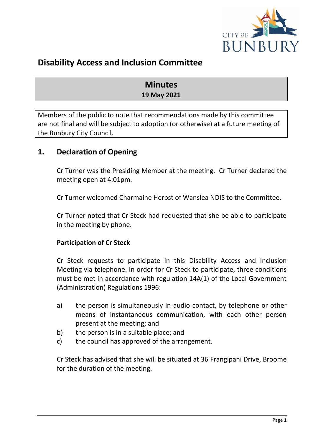

# **Disability Access and Inclusion Committee**

# **Minutes 19 May 2021**

Members of the public to note that recommendations made by this committee are not final and will be subject to adoption (or otherwise) at a future meeting of the Bunbury City Council.

# <span id="page-3-0"></span>**1. Declaration of Opening**

Cr Turner was the Presiding Member at the meeting. Cr Turner declared the meeting open at 4:01pm.

Cr Turner welcomed Charmaine Herbst of Wanslea NDIS to the Committee.

Cr Turner noted that Cr Steck had requested that she be able to participate in the meeting by phone.

# **Participation of Cr Steck**

Cr Steck requests to participate in this Disability Access and Inclusion Meeting via telephone. In order for Cr Steck to participate, three conditions must be met in accordance with regulation 14A(1) of the Local Government (Administration) Regulations 1996:

- a) the person is simultaneously in audio contact, by telephone or other means of instantaneous communication, with each other person present at the meeting; and
- b) the person is in a suitable place; and
- c) the council has approved of the arrangement.

Cr Steck has advised that she will be situated at 36 Frangipani Drive, Broome for the duration of the meeting.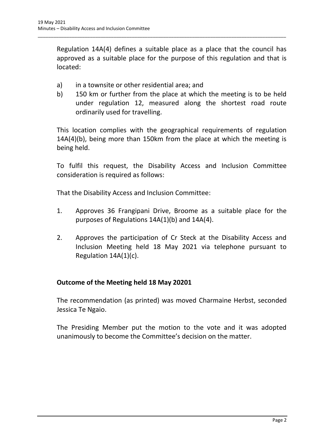Regulation 14A(4) defines a suitable place as a place that the council has approved as a suitable place for the purpose of this regulation and that is located:

\_\_\_\_\_\_\_\_\_\_\_\_\_\_\_\_\_\_\_\_\_\_\_\_\_\_\_\_\_\_\_\_\_\_\_\_\_\_\_\_\_\_\_\_\_\_\_\_\_\_\_\_\_\_\_\_\_\_\_\_\_\_\_\_\_\_\_\_\_\_\_\_\_\_\_\_\_\_\_\_\_\_\_\_\_\_\_\_\_\_\_\_\_\_\_

- a) in a townsite or other residential area; and
- b) 150 km or further from the place at which the meeting is to be held under regulation 12, measured along the shortest road route ordinarily used for travelling.

This location complies with the geographical requirements of regulation 14A(4)(b), being more than 150km from the place at which the meeting is being held.

To fulfil this request, the Disability Access and Inclusion Committee consideration is required as follows:

That the Disability Access and Inclusion Committee:

- 1. Approves 36 Frangipani Drive, Broome as a suitable place for the purposes of Regulations 14A(1)(b) and 14A(4).
- 2. Approves the participation of Cr Steck at the Disability Access and Inclusion Meeting held 18 May 2021 via telephone pursuant to Regulation 14A(1)(c).

# **Outcome of the Meeting held 18 May 20201**

The recommendation (as printed) was moved Charmaine Herbst, seconded Jessica Te Ngaio.

The Presiding Member put the motion to the vote and it was adopted unanimously to become the Committee's decision on the matter.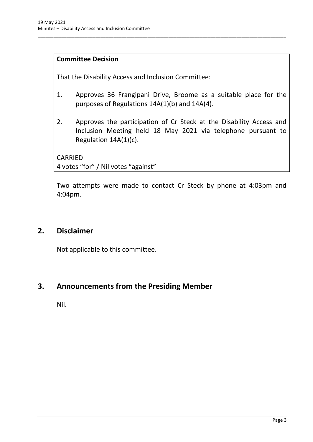# **Committee Decision**

That the Disability Access and Inclusion Committee:

1. Approves 36 Frangipani Drive, Broome as a suitable place for the purposes of Regulations 14A(1)(b) and 14A(4).

\_\_\_\_\_\_\_\_\_\_\_\_\_\_\_\_\_\_\_\_\_\_\_\_\_\_\_\_\_\_\_\_\_\_\_\_\_\_\_\_\_\_\_\_\_\_\_\_\_\_\_\_\_\_\_\_\_\_\_\_\_\_\_\_\_\_\_\_\_\_\_\_\_\_\_\_\_\_\_\_\_\_\_\_\_\_\_\_\_\_\_\_\_\_\_

2. Approves the participation of Cr Steck at the Disability Access and Inclusion Meeting held 18 May 2021 via telephone pursuant to Regulation 14A(1)(c).

CARRIED 4 votes "for" / Nil votes "against"

Two attempts were made to contact Cr Steck by phone at 4:03pm and 4:04pm.

# <span id="page-5-0"></span>**2. Disclaimer**

Not applicable to this committee.

# <span id="page-5-1"></span>**3. Announcements from the Presiding Member**

Nil.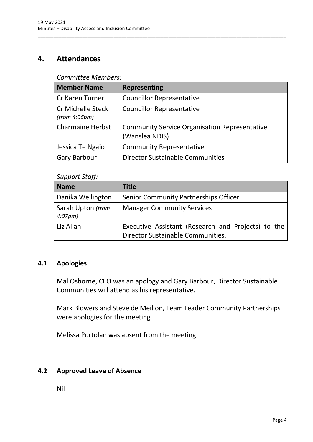# <span id="page-6-0"></span>**4. Attendances**

### *Committee Members:*

| <b>Member Name</b>                        | <b>Representing</b>                                                    |
|-------------------------------------------|------------------------------------------------------------------------|
| Cr Karen Turner                           | <b>Councillor Representative</b>                                       |
| <b>Cr Michelle Steck</b><br>(from 4:06pm) | <b>Councillor Representative</b>                                       |
| <b>Charmaine Herbst</b>                   | <b>Community Service Organisation Representative</b><br>(Wanslea NDIS) |
| Jessica Te Ngaio                          | <b>Community Representative</b>                                        |
| <b>Gary Barbour</b>                       | Director Sustainable Communities                                       |

\_\_\_\_\_\_\_\_\_\_\_\_\_\_\_\_\_\_\_\_\_\_\_\_\_\_\_\_\_\_\_\_\_\_\_\_\_\_\_\_\_\_\_\_\_\_\_\_\_\_\_\_\_\_\_\_\_\_\_\_\_\_\_\_\_\_\_\_\_\_\_\_\_\_\_\_\_\_\_\_\_\_\_\_\_\_\_\_\_\_\_\_\_\_\_

#### *Support Staff:*

| <b>Name</b>                             | <b>Title</b>                                                                            |
|-----------------------------------------|-----------------------------------------------------------------------------------------|
| Danika Wellington                       | Senior Community Partnerships Officer                                                   |
| Sarah Upton (from<br>4:07 <sub>pm</sub> | <b>Manager Community Services</b>                                                       |
| Liz Allan                               | Executive Assistant (Research and Projects) to the<br>Director Sustainable Communities. |

# <span id="page-6-1"></span>**4.1 Apologies**

Mal Osborne, CEO was an apology and Gary Barbour, Director Sustainable Communities will attend as his representative.

Mark Blowers and Steve de Meillon, Team Leader Community Partnerships were apologies for the meeting.

Melissa Portolan was absent from the meeting.

# <span id="page-6-2"></span>**4.2 Approved Leave of Absence**

Nil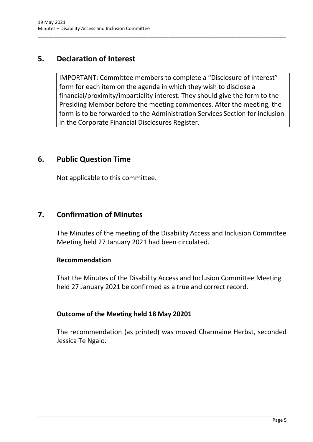# <span id="page-7-0"></span>**5. Declaration of Interest**

IMPORTANT: Committee members to complete a "Disclosure of Interest" form for each item on the agenda in which they wish to disclose a financial/proximity/impartiality interest. They should give the form to the Presiding Member before the meeting commences. After the meeting, the form is to be forwarded to the Administration Services Section for inclusion in the Corporate Financial Disclosures Register.

\_\_\_\_\_\_\_\_\_\_\_\_\_\_\_\_\_\_\_\_\_\_\_\_\_\_\_\_\_\_\_\_\_\_\_\_\_\_\_\_\_\_\_\_\_\_\_\_\_\_\_\_\_\_\_\_\_\_\_\_\_\_\_\_\_\_\_\_\_\_\_\_\_\_\_\_\_\_\_\_\_\_\_\_\_\_\_\_\_\_\_\_\_\_\_

# <span id="page-7-1"></span>**6. Public Question Time**

Not applicable to this committee.

# <span id="page-7-2"></span>**7. Confirmation of Minutes**

The Minutes of the meeting of the Disability Access and Inclusion Committee Meeting held 27 January 2021 had been circulated.

# **Recommendation**

That the Minutes of the Disability Access and Inclusion Committee Meeting held 27 January 2021 be confirmed as a true and correct record.

# **Outcome of the Meeting held 18 May 20201**

The recommendation (as printed) was moved Charmaine Herbst, seconded Jessica Te Ngaio.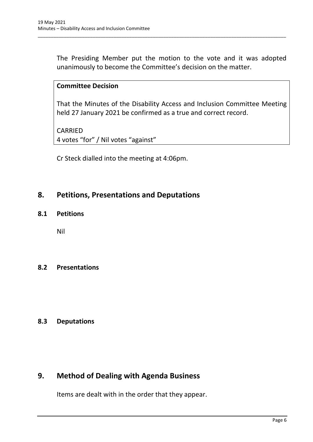The Presiding Member put the motion to the vote and it was adopted unanimously to become the Committee's decision on the matter.

\_\_\_\_\_\_\_\_\_\_\_\_\_\_\_\_\_\_\_\_\_\_\_\_\_\_\_\_\_\_\_\_\_\_\_\_\_\_\_\_\_\_\_\_\_\_\_\_\_\_\_\_\_\_\_\_\_\_\_\_\_\_\_\_\_\_\_\_\_\_\_\_\_\_\_\_\_\_\_\_\_\_\_\_\_\_\_\_\_\_\_\_\_\_\_

# **Committee Decision**

That the Minutes of the Disability Access and Inclusion Committee Meeting held 27 January 2021 be confirmed as a true and correct record.

CARRIED 4 votes "for" / Nil votes "against"

Cr Steck dialled into the meeting at 4:06pm.

# <span id="page-8-0"></span>**8. Petitions, Presentations and Deputations**

#### <span id="page-8-1"></span>**8.1 Petitions**

Nil

#### <span id="page-8-2"></span>**8.2 Presentations**

#### <span id="page-8-3"></span>**8.3 Deputations**

# <span id="page-8-4"></span>**9. Method of Dealing with Agenda Business**

Items are dealt with in the order that they appear.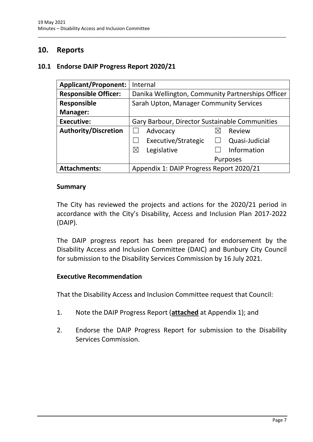# <span id="page-9-0"></span>**10. Reports**

### <span id="page-9-1"></span>**10.1 Endorse DAIP Progress Report 2020/21**

| <b>Applicant/Proponent:</b> | Internal                                          |  |
|-----------------------------|---------------------------------------------------|--|
| <b>Responsible Officer:</b> | Danika Wellington, Community Partnerships Officer |  |
| <b>Responsible</b>          | Sarah Upton, Manager Community Services           |  |
| <b>Manager:</b>             |                                                   |  |
| <b>Executive:</b>           | Gary Barbour, Director Sustainable Communities    |  |
| <b>Authority/Discretion</b> | Advocacy<br>Review                                |  |
|                             | Executive/Strategic<br>Quasi-Judicial             |  |
|                             | Legislative<br>$\boxtimes$<br>Information         |  |
|                             | <b>Purposes</b>                                   |  |
| <b>Attachments:</b>         | Appendix 1: DAIP Progress Report 2020/21          |  |

\_\_\_\_\_\_\_\_\_\_\_\_\_\_\_\_\_\_\_\_\_\_\_\_\_\_\_\_\_\_\_\_\_\_\_\_\_\_\_\_\_\_\_\_\_\_\_\_\_\_\_\_\_\_\_\_\_\_\_\_\_\_\_\_\_\_\_\_\_\_\_\_\_\_\_\_\_\_\_\_\_\_\_\_\_\_\_\_\_\_\_\_\_\_\_

#### **Summary**

The City has reviewed the projects and actions for the 2020/21 period in accordance with the City's Disability, Access and Inclusion Plan 2017-2022 (DAIP).

The DAIP progress report has been prepared for endorsement by the Disability Access and Inclusion Committee (DAIC) and Bunbury City Council for submission to the Disability Services Commission by 16 July 2021.

#### **Executive Recommendation**

That the Disability Access and Inclusion Committee request that Council:

- 1. Note the DAIP Progress Report (**attached** at Appendix 1); and
- 2. Endorse the DAIP Progress Report for submission to the Disability Services Commission.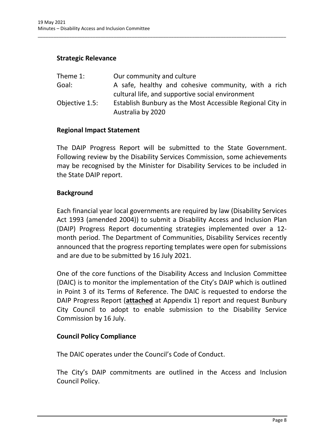# **Strategic Relevance**

| Theme 1:       | Our community and culture                                 |
|----------------|-----------------------------------------------------------|
| Goal:          | A safe, healthy and cohesive community, with a rich       |
|                | cultural life, and supportive social environment          |
| Objective 1.5: | Establish Bunbury as the Most Accessible Regional City in |
|                | Australia by 2020                                         |

\_\_\_\_\_\_\_\_\_\_\_\_\_\_\_\_\_\_\_\_\_\_\_\_\_\_\_\_\_\_\_\_\_\_\_\_\_\_\_\_\_\_\_\_\_\_\_\_\_\_\_\_\_\_\_\_\_\_\_\_\_\_\_\_\_\_\_\_\_\_\_\_\_\_\_\_\_\_\_\_\_\_\_\_\_\_\_\_\_\_\_\_\_\_\_

#### **Regional Impact Statement**

The DAIP Progress Report will be submitted to the State Government. Following review by the Disability Services Commission, some achievements may be recognised by the Minister for Disability Services to be included in the State DAIP report.

#### **Background**

Each financial year local governments are required by law (Disability Services Act 1993 (amended 2004)) to submit a Disability Access and Inclusion Plan (DAIP) Progress Report documenting strategies implemented over a 12 month period. The Department of Communities, Disability Services recently announced that the progress reporting templates were open for submissions and are due to be submitted by 16 July 2021.

One of the core functions of the Disability Access and Inclusion Committee (DAIC) is to monitor the implementation of the City's DAIP which is outlined in Point 3 of its Terms of Reference. The DAIC is requested to endorse the DAIP Progress Report (**attached** at Appendix 1) report and request Bunbury City Council to adopt to enable submission to the Disability Service Commission by 16 July.

#### **Council Policy Compliance**

The DAIC operates under the Council's Code of Conduct.

The City's DAIP commitments are outlined in the Access and Inclusion Council Policy.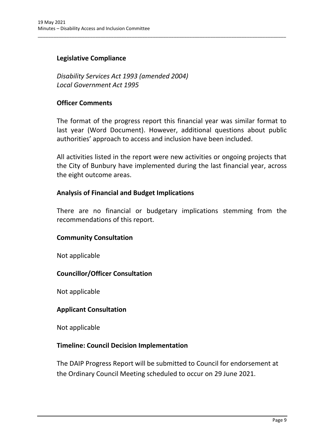# **Legislative Compliance**

*Disability Services Act 1993 (amended 2004) Local Government Act 1995*

#### **Officer Comments**

The format of the progress report this financial year was similar format to last year (Word Document). However, additional questions about public authorities' approach to access and inclusion have been included.

\_\_\_\_\_\_\_\_\_\_\_\_\_\_\_\_\_\_\_\_\_\_\_\_\_\_\_\_\_\_\_\_\_\_\_\_\_\_\_\_\_\_\_\_\_\_\_\_\_\_\_\_\_\_\_\_\_\_\_\_\_\_\_\_\_\_\_\_\_\_\_\_\_\_\_\_\_\_\_\_\_\_\_\_\_\_\_\_\_\_\_\_\_\_\_

All activities listed in the report were new activities or ongoing projects that the City of Bunbury have implemented during the last financial year, across the eight outcome areas.

# **Analysis of Financial and Budget Implications**

There are no financial or budgetary implications stemming from the recommendations of this report.

# **Community Consultation**

Not applicable

# **Councillor/Officer Consultation**

Not applicable

#### **Applicant Consultation**

Not applicable

#### **Timeline: Council Decision Implementation**

The DAIP Progress Report will be submitted to Council for endorsement at the Ordinary Council Meeting scheduled to occur on 29 June 2021.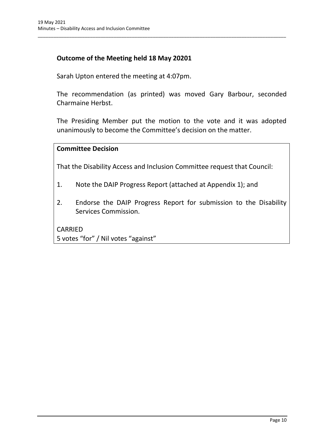# **Outcome of the Meeting held 18 May 20201**

Sarah Upton entered the meeting at 4:07pm.

The recommendation (as printed) was moved Gary Barbour, seconded Charmaine Herbst.

\_\_\_\_\_\_\_\_\_\_\_\_\_\_\_\_\_\_\_\_\_\_\_\_\_\_\_\_\_\_\_\_\_\_\_\_\_\_\_\_\_\_\_\_\_\_\_\_\_\_\_\_\_\_\_\_\_\_\_\_\_\_\_\_\_\_\_\_\_\_\_\_\_\_\_\_\_\_\_\_\_\_\_\_\_\_\_\_\_\_\_\_\_\_\_

The Presiding Member put the motion to the vote and it was adopted unanimously to become the Committee's decision on the matter.

#### **Committee Decision**

That the Disability Access and Inclusion Committee request that Council:

- 1. Note the DAIP Progress Report (attached at Appendix 1); and
- 2. Endorse the DAIP Progress Report for submission to the Disability Services Commission.

CARRIED 5 votes "for" / Nil votes "against"